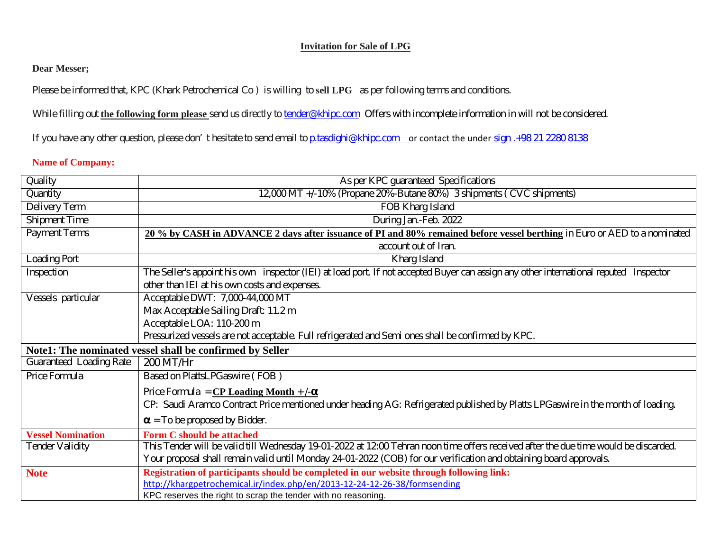### **Invitation for Sale of LPG**

## **Dear Messer;**

Please be informed that, KPC (Khark Petrochemical Co ) is willing to **sell LPG** as per following terms and conditions.

While filling out **the following form please** send us directly to **[tender@khipc.com](mailto:tender@khipc.com)** Offers with incomplete information in will not be considered.

If you have any other question, please don't hesitate to send email t[o p.tasdighi@khipc.com](mailto:p.tasdighi@khipc.com) or contact the under sign .+98 21 2280 8138

### **Name of Company:**

| Quality                                                  | As per KPC guaranteed Specifications                                                                                                  |  |  |  |
|----------------------------------------------------------|---------------------------------------------------------------------------------------------------------------------------------------|--|--|--|
| Quantity                                                 | 12,000 MT +/-10% (Propane 20%-Butane 80%) 3 shipments ( CVC shipments)                                                                |  |  |  |
| Delivery Term                                            | FOB Kharg Island                                                                                                                      |  |  |  |
| <b>Shipment Time</b>                                     | During Jan.-Feb. 2022                                                                                                                 |  |  |  |
| <b>Payment Terms</b>                                     | 20 % by CASH in ADVANCE 2 days after issuance of PI and 80% remained before vessel berthing in Euro or AED to a nominated             |  |  |  |
|                                                          | account out of Iran.                                                                                                                  |  |  |  |
| <b>Loading Port</b>                                      | Kharg Island                                                                                                                          |  |  |  |
| Inspection                                               | The Seller's appoint his own inspector (IEI) at load port. If not accepted Buyer can assign any other international reputed Inspector |  |  |  |
|                                                          | other than IEI at his own costs and expenses.                                                                                         |  |  |  |
| Vessels particular                                       | Acceptable DWT: 7,000-44,000 MT                                                                                                       |  |  |  |
|                                                          | Max Acceptable Sailing Draft: 11.2 m                                                                                                  |  |  |  |
|                                                          | Acceptable LOA: 110-200 m                                                                                                             |  |  |  |
|                                                          | Pressurized vessels are not acceptable. Full refrigerated and Semi ones shall be confirmed by KPC.                                    |  |  |  |
| Note1: The nominated vessel shall be confirmed by Seller |                                                                                                                                       |  |  |  |
| Guaranteed Loading Rate                                  | 200 MT/Hr                                                                                                                             |  |  |  |
| Price Formula                                            | Based on PlattsLPGaswire (FOB)                                                                                                        |  |  |  |
|                                                          | Price Formula = $CP$ Loading Month + $\sqrt{-\alpha}$                                                                                 |  |  |  |
|                                                          | CP: Saudi Aramco Contract Price mentioned under heading AG: Refrigerated published by Platts LPGaswire in the month of loading.       |  |  |  |
|                                                          | $\alpha$ = To be proposed by Bidder.                                                                                                  |  |  |  |
| <b>Vessel Nomination</b>                                 | Form C should be attached                                                                                                             |  |  |  |
| <b>Tender Validity</b>                                   | This Tender will be valid till Wednesday 19-01-2022 at 12:00 Tehran noon time offers received after the due time would be discarded.  |  |  |  |
|                                                          | Your proposal shall remain valid until Monday 24-01-2022 (COB) for our verification and obtaining board approvals.                    |  |  |  |
| <b>Note</b>                                              | Registration of participants should be completed in our website through following link:                                               |  |  |  |
|                                                          | http://khargpetrochemical.ir/index.php/en/2013-12-24-12-26-38/formsending                                                             |  |  |  |
|                                                          | KPC reserves the right to scrap the tender with no reasoning.                                                                         |  |  |  |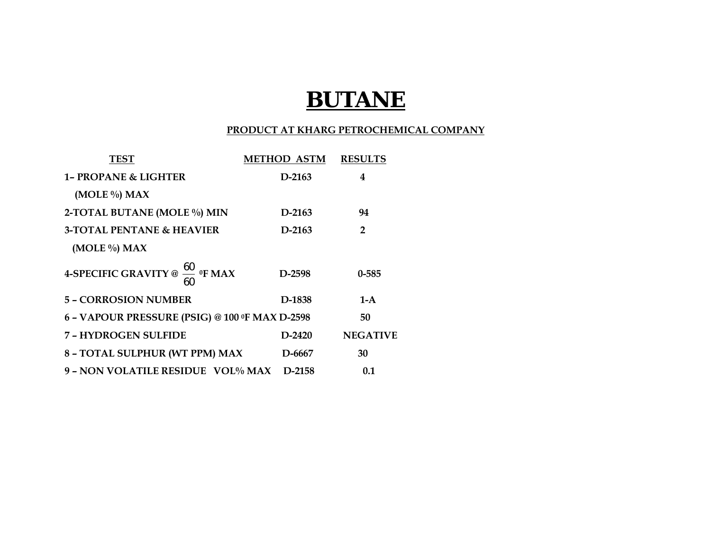# **BUTANE**

### **PRODUCT AT KHARG PETROCHEMICAL COMPANY**

| <b>TEST</b>                                      | <b>METHOD ASTM</b> | <b>RESULTS</b>  |
|--------------------------------------------------|--------------------|-----------------|
| <b>1- PROPANE &amp; LIGHTER</b>                  | $D-2163$           | 4               |
| (MOLE %) MAX                                     |                    |                 |
| 2-TOTAL BUTANE (MOLE %) MIN                      | D-2163             | 94              |
| <b>3-TOTAL PENTANE &amp; HEAVIER</b>             | $D-2163$           | $\overline{2}$  |
| (MOLE %) MAX                                     |                    |                 |
| 4-SPECIFIC GRAVITY @ $\frac{60}{ }$ of MAX<br>60 | D-2598             | $0 - 585$       |
| <b>5 - CORROSION NUMBER</b>                      | D-1838             | $1-A$           |
| 6 - VAPOUR PRESSURE (PSIG) @ 100 ºF MAX D-2598   | 50                 |                 |
| 7 - HYDROGEN SULFIDE                             | $D-2420$           | <b>NEGATIVE</b> |
| 8 - TOTAL SULPHUR (WT PPM) MAX                   | D-6667             | 30              |
| 9 - NON VOLATILE RESIDUE VOL% MAX                | $D-2158$           | 0.1             |